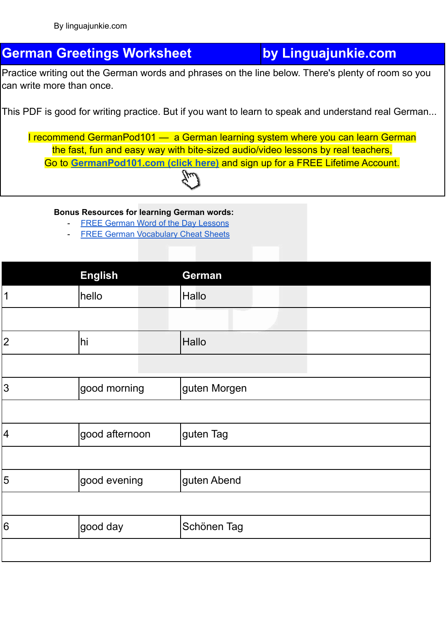## **German Greetings Worksheet by Linguajunkie.com**

Practice writing out the German words and phrases on the line below. There's plenty of room so you can write more than once.

This PDF is good for writing practice. But if you want to learn to speak and understand real German...

I recommend GermanPod101 — a German learning system where you can learn German the fast, fun and easy way with bite-sized audio/video lessons by real teachers, Go to **[GermanPod101.com](https://www.germanpod101.com/member/go.php?r=270096&l=uggcf%3A%2F%2Fjjj.treznacbq101.pbz%2F%3Ffep%3Dyvathnwhaxvr-trezna-jbexobbxyvax) (click here)** and sign up for a FREE Lifetime Account.

## **Bonus Resources for learning German words:**

- FREE German Word of the Day [Lessons](https://www.germanpod101.com/member/go.php?r=270096&l=uggcf%3A%2F%2Fjjj.treznacbq101.pbz%2Ftrezna-cuenfrf%3Ffep%3Dyvathnwhaxvr-trezna-jbexobbxyvaxJBGQ)
- FREE German [Vocabulary](https://www.germanpod101.com/member/go.php?r=270096&l=uggcf%3A%2F%2Fjjj.treznacbq101.pbz%2Fyrnea-jvgu-cqs%3Ffep%3Dyvathnwhaxvr-trezna-jbexobbxyvaxCQS) Cheat Sheets

|                | <b>English</b> | German       |
|----------------|----------------|--------------|
| $\vert$ 1      | hello          | <b>Hallo</b> |
|                |                |              |
| 2              | hi             | <b>Hallo</b> |
|                |                |              |
| 3              | good morning   | guten Morgen |
|                |                |              |
| 4              | good afternoon | guten Tag    |
|                |                |              |
| $\overline{5}$ | good evening   | guten Abend  |
|                |                |              |
| 6              | good day       | Schönen Tag  |
|                |                |              |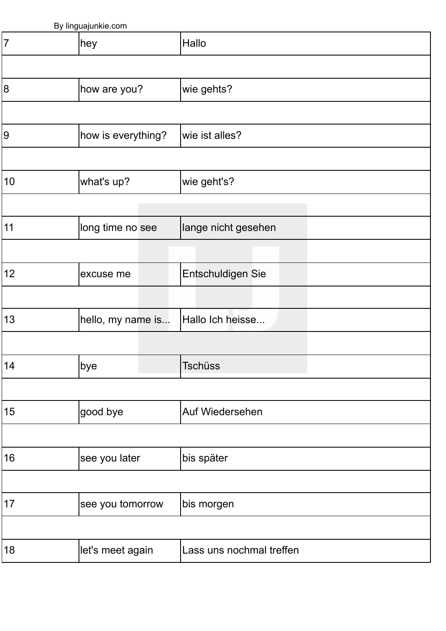By linguajunkie.com

| 7  | hey                | Hallo                    |
|----|--------------------|--------------------------|
|    |                    |                          |
| 8  | how are you?       | wie gehts?               |
|    |                    |                          |
| 9  | how is everything? | wie ist alles?           |
|    |                    |                          |
| 10 | what's up?         | wie geht's?              |
|    |                    |                          |
| 11 | long time no see   | lange nicht gesehen      |
|    |                    |                          |
| 12 | excuse me          | Entschuldigen Sie        |
|    |                    |                          |
| 13 | hello, my name is  | Hallo Ich heisse         |
|    |                    |                          |
| 14 | bye                | Tschüss                  |
|    |                    |                          |
| 15 | good bye           | Auf Wiedersehen          |
|    |                    |                          |
| 16 | see you later      | bis später               |
|    |                    |                          |
| 17 | see you tomorrow   | bis morgen               |
|    |                    |                          |
| 18 | let's meet again   | Lass uns nochmal treffen |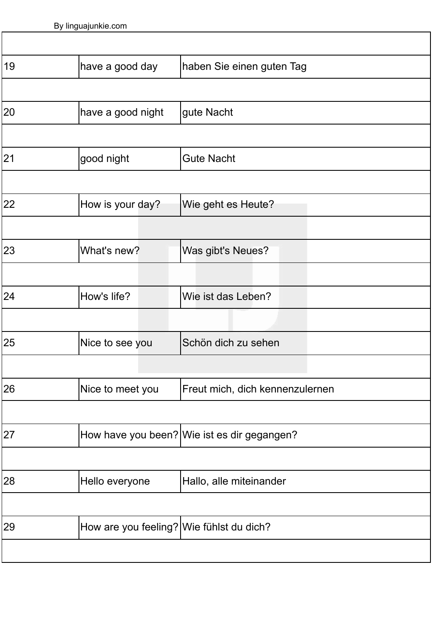| 19 | have a good day                          | haben Sie einen guten Tag                   |
|----|------------------------------------------|---------------------------------------------|
|    |                                          |                                             |
| 20 | have a good night                        | gute Nacht                                  |
|    |                                          |                                             |
| 21 | good night                               | <b>Gute Nacht</b>                           |
|    |                                          |                                             |
| 22 | How is your day?                         | Wie geht es Heute?                          |
|    |                                          |                                             |
| 23 | What's new?                              | Was gibt's Neues?                           |
|    |                                          |                                             |
| 24 | How's life?                              | Wie ist das Leben?                          |
|    |                                          |                                             |
| 25 | Nice to see you                          | Schön dich zu sehen                         |
|    |                                          |                                             |
| 26 | Nice to meet you                         | Freut mich, dich kennenzulernen             |
|    |                                          |                                             |
| 27 |                                          | How have you been? Wie ist es dir gegangen? |
|    |                                          |                                             |
| 28 | Hello everyone                           | Hallo, alle miteinander                     |
|    |                                          |                                             |
| 29 | How are you feeling? Wie fühlst du dich? |                                             |
|    |                                          |                                             |